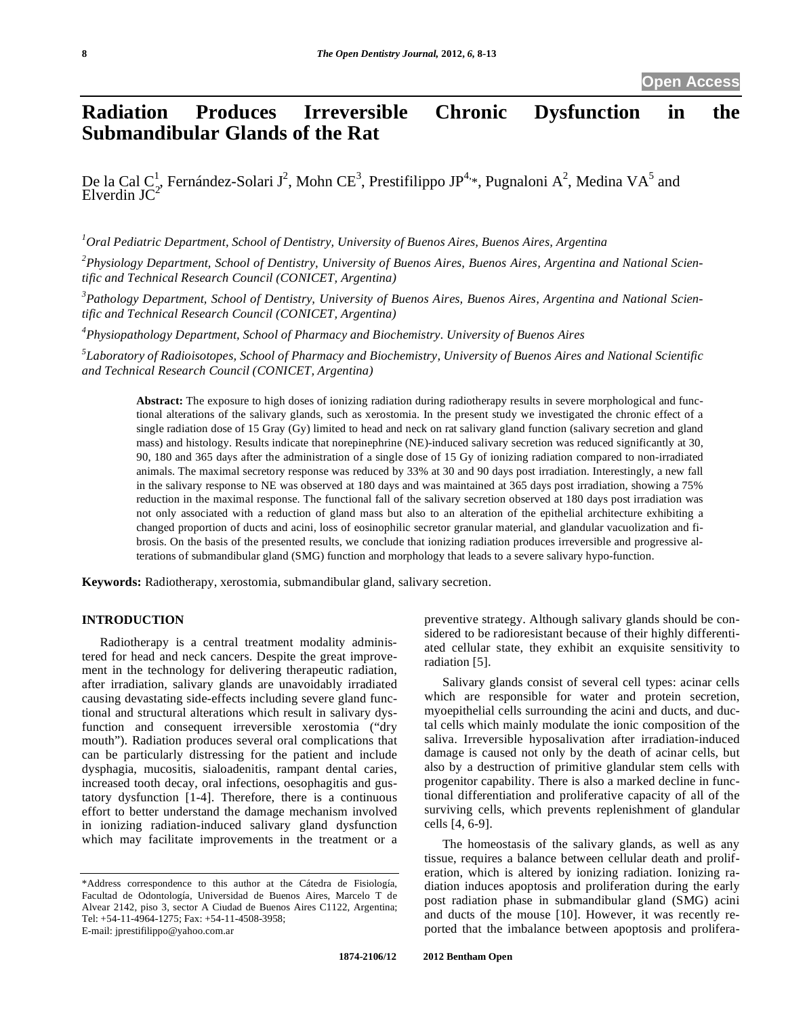# **Radiation Produces Irreversible Chronic Dysfunction in the Submandibular Glands of the Rat**

De la Cal C<sup>1</sup>, Fernández-Solari J<sup>2</sup>, Mohn CE<sup>3</sup>, Prestifilippo JP<sup>4,\*</sup>, Pugnaloni A<sup>2</sup>, Medina VA<sup>5</sup> and  $E$ lverdin  $JC<sup>2</sup>$ 

*1 Oral Pediatric Department, School of Dentistry, University of Buenos Aires, Buenos Aires, Argentina* 

*2 Physiology Department, School of Dentistry, University of Buenos Aires, Buenos Aires, Argentina and National Scientific and Technical Research Council (CONICET, Argentina)* 

*3 Pathology Department, School of Dentistry, University of Buenos Aires, Buenos Aires, Argentina and National Scientific and Technical Research Council (CONICET, Argentina)* 

*4 Physiopathology Department, School of Pharmacy and Biochemistry. University of Buenos Aires* 

*5 Laboratory of Radioisotopes, School of Pharmacy and Biochemistry, University of Buenos Aires and National Scientific and Technical Research Council (CONICET, Argentina)* 

**Abstract:** The exposure to high doses of ionizing radiation during radiotherapy results in severe morphological and functional alterations of the salivary glands, such as xerostomia. In the present study we investigated the chronic effect of a single radiation dose of 15 Gray (Gy) limited to head and neck on rat salivary gland function (salivary secretion and gland mass) and histology. Results indicate that norepinephrine (NE)-induced salivary secretion was reduced significantly at 30, 90, 180 and 365 days after the administration of a single dose of 15 Gy of ionizing radiation compared to non-irradiated animals. The maximal secretory response was reduced by 33% at 30 and 90 days post irradiation. Interestingly, a new fall in the salivary response to NE was observed at 180 days and was maintained at 365 days post irradiation, showing a 75% reduction in the maximal response. The functional fall of the salivary secretion observed at 180 days post irradiation was not only associated with a reduction of gland mass but also to an alteration of the epithelial architecture exhibiting a changed proportion of ducts and acini, loss of eosinophilic secretor granular material, and glandular vacuolization and fibrosis. On the basis of the presented results, we conclude that ionizing radiation produces irreversible and progressive alterations of submandibular gland (SMG) function and morphology that leads to a severe salivary hypo-function.

**Keywords:** Radiotherapy, xerostomia, submandibular gland, salivary secretion.

# **INTRODUCTION**

Radiotherapy is a central treatment modality administered for head and neck cancers. Despite the great improvement in the technology for delivering therapeutic radiation, after irradiation, salivary glands are unavoidably irradiated causing devastating side-effects including severe gland functional and structural alterations which result in salivary dysfunction and consequent irreversible xerostomia ("dry mouth"). Radiation produces several oral complications that can be particularly distressing for the patient and include dysphagia, mucositis, sialoadenitis, rampant dental caries, increased tooth decay, oral infections, oesophagitis and gustatory dysfunction [1-4]. Therefore, there is a continuous effort to better understand the damage mechanism involved in ionizing radiation-induced salivary gland dysfunction which may facilitate improvements in the treatment or a

preventive strategy. Although salivary glands should be considered to be radioresistant because of their highly differentiated cellular state, they exhibit an exquisite sensitivity to radiation [5].

Salivary glands consist of several cell types: acinar cells which are responsible for water and protein secretion, myoepithelial cells surrounding the acini and ducts, and ductal cells which mainly modulate the ionic composition of the saliva. Irreversible hyposalivation after irradiation-induced damage is caused not only by the death of acinar cells, but also by a destruction of primitive glandular stem cells with progenitor capability. There is also a marked decline in functional differentiation and proliferative capacity of all of the surviving cells, which prevents replenishment of glandular cells [4, 6-9].

The homeostasis of the salivary glands, as well as any tissue, requires a balance between cellular death and proliferation, which is altered by ionizing radiation. Ionizing radiation induces apoptosis and proliferation during the early post radiation phase in submandibular gland (SMG) acini and ducts of the mouse [10]. However, it was recently reported that the imbalance between apoptosis and prolifera-

<sup>\*</sup>Address correspondence to this author at the Cátedra de Fisiología, Facultad de Odontología, Universidad de Buenos Aires, Marcelo T de Alvear 2142, piso 3, sector A Ciudad de Buenos Aires C1122, Argentina; Tel: +54-11-4964-1275; Fax: +54-11-4508-3958; E-mail: jprestifilippo@yahoo.com.ar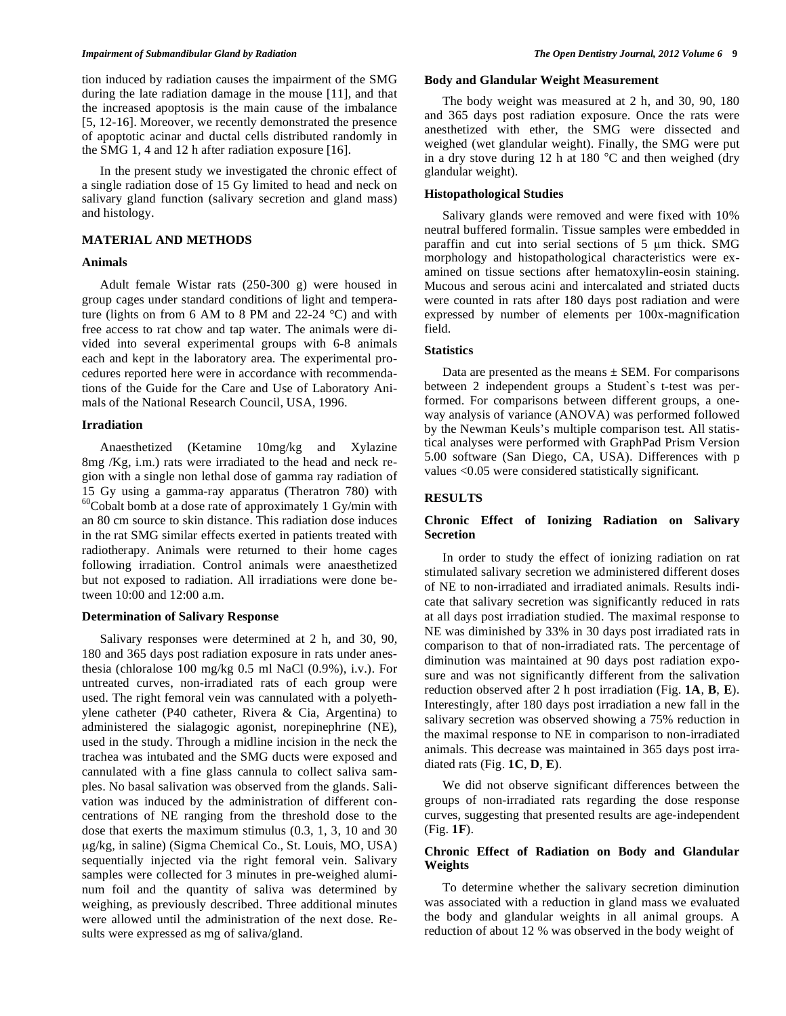#### *Impairment of Submandibular Gland by Radiation*  $\qquad \qquad$  The Open Dentistry Journal, 2012 Volume 6 **9**

tion induced by radiation causes the impairment of the SMG during the late radiation damage in the mouse [11], and that the increased apoptosis is the main cause of the imbalance [5, 12-16]. Moreover, we recently demonstrated the presence of apoptotic acinar and ductal cells distributed randomly in the SMG 1, 4 and 12 h after radiation exposure [16].

In the present study we investigated the chronic effect of a single radiation dose of 15 Gy limited to head and neck on salivary gland function (salivary secretion and gland mass) and histology.

# **MATERIAL AND METHODS**

#### **Animals**

Adult female Wistar rats (250-300 g) were housed in group cages under standard conditions of light and temperature (lights on from 6 AM to 8 PM and 22-24 °C) and with free access to rat chow and tap water. The animals were divided into several experimental groups with 6-8 animals each and kept in the laboratory area. The experimental procedures reported here were in accordance with recommendations of the Guide for the Care and Use of Laboratory Animals of the National Research Council, USA, 1996.

### **Irradiation**

Anaesthetized (Ketamine 10mg/kg and Xylazine 8mg /Kg, i.m.) rats were irradiated to the head and neck region with a single non lethal dose of gamma ray radiation of 15 Gy using a gamma-ray apparatus (Theratron 780) with  $60$ Cobalt bomb at a dose rate of approximately 1 Gy/min with an 80 cm source to skin distance. This radiation dose induces in the rat SMG similar effects exerted in patients treated with radiotherapy. Animals were returned to their home cages following irradiation. Control animals were anaesthetized but not exposed to radiation. All irradiations were done between 10:00 and 12:00 a.m.

#### **Determination of Salivary Response**

Salivary responses were determined at 2 h, and 30, 90, 180 and 365 days post radiation exposure in rats under anesthesia (chloralose 100 mg/kg 0.5 ml NaCl (0.9%), i.v.). For untreated curves, non-irradiated rats of each group were used. The right femoral vein was cannulated with a polyethylene catheter (P40 catheter, Rivera & Cia, Argentina) to administered the sialagogic agonist, norepinephrine (NE), used in the study. Through a midline incision in the neck the trachea was intubated and the SMG ducts were exposed and cannulated with a fine glass cannula to collect saliva samples. No basal salivation was observed from the glands. Salivation was induced by the administration of different concentrations of NE ranging from the threshold dose to the dose that exerts the maximum stimulus (0.3, 1, 3, 10 and 30 μg/kg, in saline) (Sigma Chemical Co., St. Louis, MO, USA) sequentially injected via the right femoral vein. Salivary samples were collected for 3 minutes in pre-weighed aluminum foil and the quantity of saliva was determined by weighing, as previously described. Three additional minutes were allowed until the administration of the next dose. Results were expressed as mg of saliva/gland.

### **Body and Glandular Weight Measurement**

The body weight was measured at 2 h, and 30, 90, 180 and 365 days post radiation exposure. Once the rats were anesthetized with ether, the SMG were dissected and weighed (wet glandular weight). Finally, the SMG were put in a dry stove during 12 h at 180 °C and then weighed (dry glandular weight).

# **Histopathological Studies**

Salivary glands were removed and were fixed with 10% neutral buffered formalin. Tissue samples were embedded in paraffin and cut into serial sections of 5 um thick. SMG morphology and histopathological characteristics were examined on tissue sections after hematoxylin-eosin staining. Mucous and serous acini and intercalated and striated ducts were counted in rats after 180 days post radiation and were expressed by number of elements per 100x-magnification field.

#### **Statistics**

Data are presented as the means  $\pm$  SEM. For comparisons between 2 independent groups a Student`s t-test was performed. For comparisons between different groups, a oneway analysis of variance (ANOVA) was performed followed by the Newman Keuls's multiple comparison test. All statistical analyses were performed with GraphPad Prism Version 5.00 software (San Diego, CA, USA). Differences with p values <0.05 were considered statistically significant.

# **RESULTS**

# **Chronic Effect of Ionizing Radiation on Salivary Secretion**

In order to study the effect of ionizing radiation on rat stimulated salivary secretion we administered different doses of NE to non-irradiated and irradiated animals. Results indicate that salivary secretion was significantly reduced in rats at all days post irradiation studied. The maximal response to NE was diminished by 33% in 30 days post irradiated rats in comparison to that of non-irradiated rats. The percentage of diminution was maintained at 90 days post radiation exposure and was not significantly different from the salivation reduction observed after 2 h post irradiation (Fig. **1A**, **B**, **E**). Interestingly, after 180 days post irradiation a new fall in the salivary secretion was observed showing a 75% reduction in the maximal response to NE in comparison to non-irradiated animals. This decrease was maintained in 365 days post irradiated rats (Fig. **1C**, **D**, **E**).

We did not observe significant differences between the groups of non-irradiated rats regarding the dose response curves, suggesting that presented results are age-independent (Fig. **1F**).

# **Chronic Effect of Radiation on Body and Glandular Weights**

To determine whether the salivary secretion diminution was associated with a reduction in gland mass we evaluated the body and glandular weights in all animal groups. A reduction of about 12 % was observed in the body weight of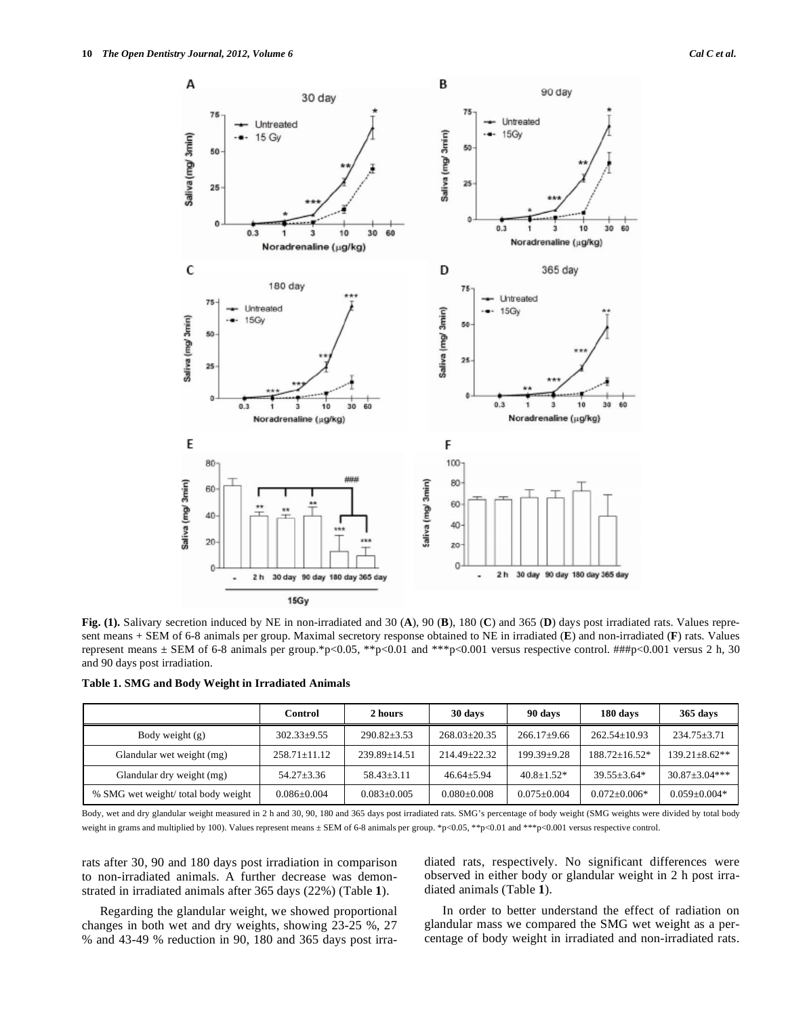**C D**

**E F**

**Fig. (1).** Salivary secretion induced by NE in non-irradiated and 30 (**A**), 90 (**B**), 180 (**C**) and 365 (**D**) days post irradiated rats. Values represent means + SEM of 6-8 animals per group. Maximal secretory response obtained to NE in irradiated (**E**) and non-irradiated (**F**) rats. Values represent means  $\pm$  SEM of 6-8 animals per group.\*p<0.05, \*\*p<0.01 and \*\*\*p<0.001 versus respective control. ###p<0.001 versus 2 h, 30 and 90 days post irradiation.

|  |  | Table 1. SMG and Body Weight in Irradiated Animals |  |
|--|--|----------------------------------------------------|--|
|  |  |                                                    |  |

|                                    | Control          | 2 hours          | 30 days            | 90 days         | 180 days          | 365 days            |
|------------------------------------|------------------|------------------|--------------------|-----------------|-------------------|---------------------|
| Body weight $(g)$                  | $302.33+9.55$    | $290.82 + 3.53$  | $268.03+20.35$     | $266.17+9.66$   | $262.54+10.93$    | $234.75 \pm 3.71$   |
| Glandular wet weight (mg)          | $258.71 + 11.12$ | $239.89 + 14.51$ | $214.49 \pm 22.32$ | $199.39 + 9.28$ | $188.72 + 16.52*$ | $139.21 \pm 8.62**$ |
| Glandular dry weight (mg)          | $54.27 + 3.36$   | $58.43 + 3.11$   | $46.64 + 5.94$     | $40.8 + 1.52*$  | $39.55 + 3.64*$   | $30.87 + 3.04$ ***  |
| % SMG wet weight/total body weight | $0.086 + 0.004$  | $0.083 + 0.005$  | $0.080 + 0.008$    | $0.075 + 0.004$ | $0.072 + 0.006*$  | $0.059 + 0.004*$    |

Body, wet and dry glandular weight measured in 2 h and 30, 90, 180 and 365 days post irradiated rats. SMG's percentage of body weight (SMG weights were divided by total body weight in grams and multiplied by 100). Values represent means  $\pm$  SEM of 6-8 animals per group. \*p<0.05, \*\*p<0.01 and \*\*\*p<0.001 versus respective control.

rats after 30, 90 and 180 days post irradiation in comparison to non-irradiated animals. A further decrease was demonstrated in irradiated animals after 365 days (22%) (Table **1**).

Regarding the glandular weight, we showed proportional changes in both wet and dry weights, showing 23-25 %, 27 % and 43-49 % reduction in 90, 180 and 365 days post irradiated rats, respectively. No significant differences were observed in either body or glandular weight in 2 h post irradiated animals (Table **1**).

In order to better understand the effect of radiation on glandular mass we compared the SMG wet weight as a percentage of body weight in irradiated and non-irradiated rats.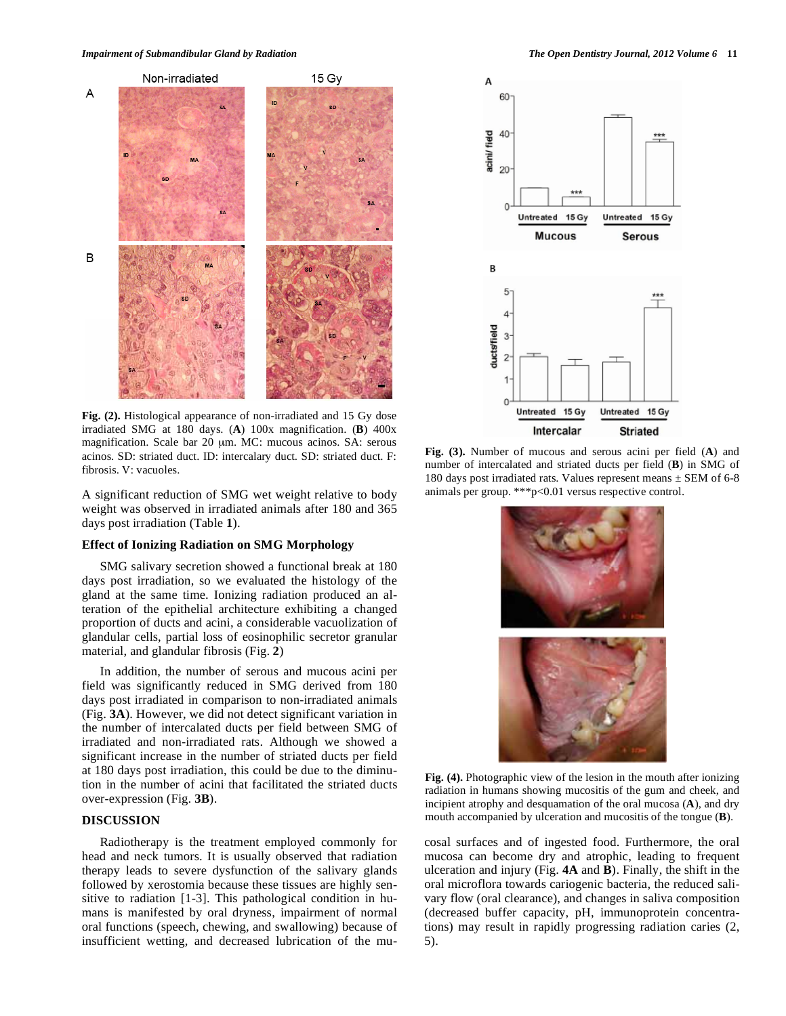

**Fig. (2).** Histological appearance of non-irradiated and 15 Gy dose irradiated SMG at 180 days. (**A**) 100x magnification. (**B**) 400x magnification. Scale bar 20 μm. MC: mucous acinos. SA: serous acinos. SD: striated duct. ID: intercalary duct. SD: striated duct. F: fibrosis. V: vacuoles.

A significant reduction of SMG wet weight relative to body weight was observed in irradiated animals after 180 and 365 days post irradiation (Table **1**).

#### **Effect of Ionizing Radiation on SMG Morphology**

SMG salivary secretion showed a functional break at 180 days post irradiation, so we evaluated the histology of the gland at the same time. Ionizing radiation produced an alteration of the epithelial architecture exhibiting a changed proportion of ducts and acini, a considerable vacuolization of glandular cells, partial loss of eosinophilic secretor granular material, and glandular fibrosis (Fig. **2**)

In addition, the number of serous and mucous acini per field was significantly reduced in SMG derived from 180 days post irradiated in comparison to non-irradiated animals (Fig. **3A**). However, we did not detect significant variation in the number of intercalated ducts per field between SMG of irradiated and non-irradiated rats. Although we showed a significant increase in the number of striated ducts per field at 180 days post irradiation, this could be due to the diminution in the number of acini that facilitated the striated ducts over-expression (Fig. **3B**).

# **DISCUSSION**

Radiotherapy is the treatment employed commonly for head and neck tumors. It is usually observed that radiation therapy leads to severe dysfunction of the salivary glands followed by xerostomia because these tissues are highly sensitive to radiation [1-3]. This pathological condition in humans is manifested by oral dryness, impairment of normal oral functions (speech, chewing, and swallowing) because of insufficient wetting, and decreased lubrication of the mu-



**Fig. (3).** Number of mucous and serous acini per field (**A**) and number of intercalated and striated ducts per field (**B**) in SMG of 180 days post irradiated rats. Values represent means  $\pm$  SEM of 6-8 animals per group. \*\*\*p<0.01 versus respective control.



**Fig. (4).** Photographic view of the lesion in the mouth after ionizing radiation in humans showing mucositis of the gum and cheek, and incipient atrophy and desquamation of the oral mucosa (**A**), and dry mouth accompanied by ulceration and mucositis of the tongue (**B**).

cosal surfaces and of ingested food. Furthermore, the oral mucosa can become dry and atrophic, leading to frequent ulceration and injury (Fig. **4A** and **B**). Finally, the shift in the oral microflora towards cariogenic bacteria, the reduced salivary flow (oral clearance), and changes in saliva composition (decreased buffer capacity, pH, immunoprotein concentrations) may result in rapidly progressing radiation caries (2, 5).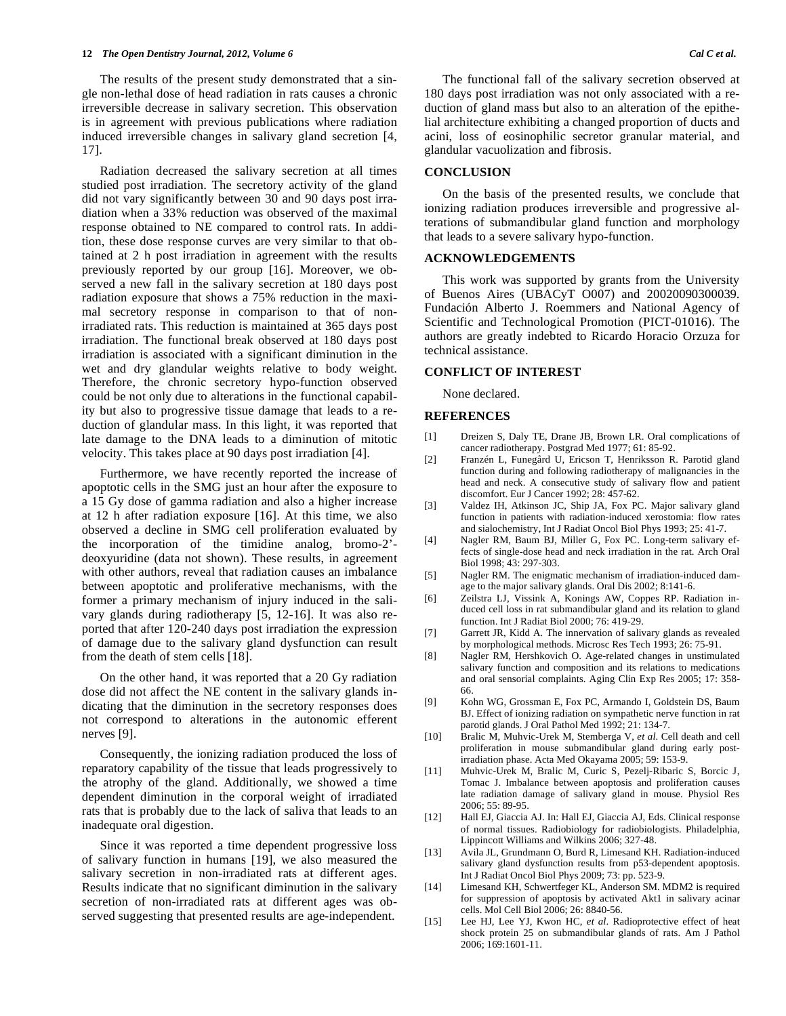The results of the present study demonstrated that a single non-lethal dose of head radiation in rats causes a chronic irreversible decrease in salivary secretion. This observation is in agreement with previous publications where radiation induced irreversible changes in salivary gland secretion [4, 17].

Radiation decreased the salivary secretion at all times studied post irradiation. The secretory activity of the gland did not vary significantly between 30 and 90 days post irradiation when a 33% reduction was observed of the maximal response obtained to NE compared to control rats. In addition, these dose response curves are very similar to that obtained at 2 h post irradiation in agreement with the results previously reported by our group [16]. Moreover, we observed a new fall in the salivary secretion at 180 days post radiation exposure that shows a 75% reduction in the maximal secretory response in comparison to that of nonirradiated rats. This reduction is maintained at 365 days post irradiation. The functional break observed at 180 days post irradiation is associated with a significant diminution in the wet and dry glandular weights relative to body weight. Therefore, the chronic secretory hypo-function observed could be not only due to alterations in the functional capability but also to progressive tissue damage that leads to a reduction of glandular mass. In this light, it was reported that late damage to the DNA leads to a diminution of mitotic velocity. This takes place at 90 days post irradiation [4].

Furthermore, we have recently reported the increase of apoptotic cells in the SMG just an hour after the exposure to a 15 Gy dose of gamma radiation and also a higher increase at 12 h after radiation exposure [16]. At this time, we also observed a decline in SMG cell proliferation evaluated by the incorporation of the timidine analog, bromo-2' deoxyuridine (data not shown). These results, in agreement with other authors, reveal that radiation causes an imbalance between apoptotic and proliferative mechanisms, with the former a primary mechanism of injury induced in the salivary glands during radiotherapy [5, 12-16]. It was also reported that after 120-240 days post irradiation the expression of damage due to the salivary gland dysfunction can result from the death of stem cells [18].

On the other hand, it was reported that a 20 Gy radiation dose did not affect the NE content in the salivary glands indicating that the diminution in the secretory responses does not correspond to alterations in the autonomic efferent nerves [9].

Consequently, the ionizing radiation produced the loss of reparatory capability of the tissue that leads progressively to the atrophy of the gland. Additionally, we showed a time dependent diminution in the corporal weight of irradiated rats that is probably due to the lack of saliva that leads to an inadequate oral digestion.

Since it was reported a time dependent progressive loss of salivary function in humans [19], we also measured the salivary secretion in non-irradiated rats at different ages. Results indicate that no significant diminution in the salivary secretion of non-irradiated rats at different ages was observed suggesting that presented results are age-independent.

The functional fall of the salivary secretion observed at 180 days post irradiation was not only associated with a reduction of gland mass but also to an alteration of the epithelial architecture exhibiting a changed proportion of ducts and acini, loss of eosinophilic secretor granular material, and glandular vacuolization and fibrosis.

#### **CONCLUSION**

On the basis of the presented results, we conclude that ionizing radiation produces irreversible and progressive alterations of submandibular gland function and morphology that leads to a severe salivary hypo-function.

### **ACKNOWLEDGEMENTS**

This work was supported by grants from the University of Buenos Aires (UBACyT O007) and 20020090300039. Fundación Alberto J. Roemmers and National Agency of Scientific and Technological Promotion (PICT-01016). The authors are greatly indebted to Ricardo Horacio Orzuza for technical assistance.

#### **CONFLICT OF INTEREST**

None declared.

# **REFERENCES**

- [1] Dreizen S, Daly TE, Drane JB, Brown LR. Oral complications of cancer radiotherapy. Postgrad Med 1977; 61: 85-92.
- [2] Franzén L, Funegård U, Ericson T, Henriksson R. Parotid gland function during and following radiotherapy of malignancies in the head and neck. A consecutive study of salivary flow and patient discomfort. Eur J Cancer 1992; 28: 457-62.
- [3] Valdez IH, Atkinson JC, Ship JA, Fox PC. Major salivary gland function in patients with radiation-induced xerostomia: flow rates and sialochemistry, Int J Radiat Oncol Biol Phys 1993; 25: 41-7.
- [4] Nagler RM, Baum BJ, Miller G, Fox PC. Long-term salivary effects of single-dose head and neck irradiation in the rat. Arch Oral Biol 1998; 43: 297-303.
- [5] Nagler RM. The enigmatic mechanism of irradiation-induced damage to the major salivary glands. Oral Dis 2002; 8:141-6.
- [6] Zeilstra LJ, Vissink A, Konings AW, Coppes RP. Radiation induced cell loss in rat submandibular gland and its relation to gland function. Int J Radiat Biol 2000; 76: 419-29.
- [7] Garrett JR, Kidd A. The innervation of salivary glands as revealed by morphological methods. Microsc Res Tech 1993; 26: 75-91.
- [8] Nagler RM, Hershkovich O. Age-related changes in unstimulated salivary function and composition and its relations to medications and oral sensorial complaints. Aging Clin Exp Res 2005; 17: 358- 66.
- [9] Kohn WG, Grossman E, Fox PC, Armando I, Goldstein DS, Baum BJ. Effect of ionizing radiation on sympathetic nerve function in rat parotid glands. J Oral Pathol Med 1992; 21: 134-7.
- [10] Bralic M, Muhvic-Urek M, Stemberga V, *et al*. Cell death and cell proliferation in mouse submandibular gland during early postirradiation phase. Acta Med Okayama 2005; 59: 153-9.
- [11] Muhvic-Urek M, Bralic M, Curic S, Pezelj-Ribaric S, Borcic J, Tomac J. Imbalance between apoptosis and proliferation causes late radiation damage of salivary gland in mouse. Physiol Res 2006; 55: 89-95.
- [12] Hall EJ, Giaccia AJ. In: Hall EJ, Giaccia AJ, Eds. Clinical response of normal tissues. Radiobiology for radiobiologists. Philadelphia, Lippincott Williams and Wilkins 2006; 327-48.
- [13] Avila JL, Grundmann O, Burd R, Limesand KH. Radiation-induced salivary gland dysfunction results from p53-dependent apoptosis. Int J Radiat Oncol Biol Phys 2009; 73: pp. 523-9.
- [14] Limesand KH, Schwertfeger KL, Anderson SM. MDM2 is required for suppression of apoptosis by activated Akt1 in salivary acinar cells. Mol Cell Biol 2006; 26: 8840-56.
- [15] Lee HJ, Lee YJ, Kwon HC, *et al.* Radioprotective effect of heat shock protein 25 on submandibular glands of rats. Am J Pathol 2006; 169:1601-11.